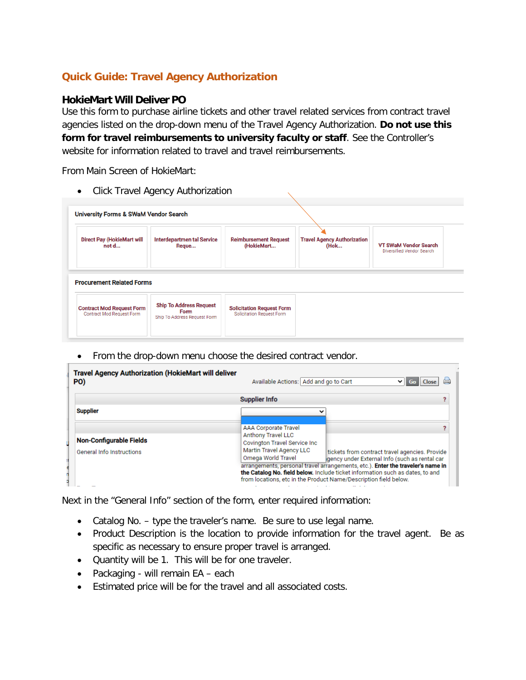## **Quick Guide: Travel Agency Authorization**

## **HokieMart Will Deliver PO**

Use this form to purchase airline tickets and other travel related services from contract travel agencies listed on the drop-down menu of the Travel Agency Authorization. **Do not use this form for travel reimbursements to university faculty or staff**. See the Controller's website for information related to travel and travel reimbursements.

From Main Screen of HokieMart:

| $\bullet$                                                     | <b>Click Travel Agency Authorization</b>                               |                                                                      |                                            |                                                           |
|---------------------------------------------------------------|------------------------------------------------------------------------|----------------------------------------------------------------------|--------------------------------------------|-----------------------------------------------------------|
| <b>University Forms &amp; SWaM Vendor Search</b>              |                                                                        |                                                                      |                                            |                                                           |
| <b>Direct Pay (HokieMart will</b><br>not d                    | <b>Interdepartmen tal Service</b><br>Reque                             | <b>Reimbursement Request</b><br>(HokieMart                           | <b>Travel Agency Authorization</b><br>(Hok | <b>VT SWaM Vendor Search</b><br>Diversified Vendor Search |
| <b>Procurement Related Forms</b>                              |                                                                        |                                                                      |                                            |                                                           |
| <b>Contract Mod Request Form</b><br>Contract Mod Request Form | <b>Ship To Address Request</b><br>Form<br>Ship To Address Request Form | <b>Solicitation Request Form</b><br><b>Solicitation Request Form</b> |                                            |                                                           |

• From the drop-down menu choose the desired contract vendor.

| <b>Travel Agency Authorization (HokieMart will deliver</b><br>PO) | Available Actions: Add and go to Cart                                                                                               | $\vee$ 60                                                                                                                                                                                                                                                                                                                               |  |  |  |  |
|-------------------------------------------------------------------|-------------------------------------------------------------------------------------------------------------------------------------|-----------------------------------------------------------------------------------------------------------------------------------------------------------------------------------------------------------------------------------------------------------------------------------------------------------------------------------------|--|--|--|--|
|                                                                   | <b>Supplier Info</b>                                                                                                                |                                                                                                                                                                                                                                                                                                                                         |  |  |  |  |
| <b>Supplier</b>                                                   | $\check{ }$                                                                                                                         |                                                                                                                                                                                                                                                                                                                                         |  |  |  |  |
| <b>Non-Configurable Fields</b><br>General Info Instructions       | <b>AAA Corporate Travel</b><br>Anthony Travel LLC<br>Covington Travel Service Inc<br>Martin Travel Agency LLC<br>Omega World Travel | tickets from contract travel agencies. Provide<br>gency under External Info (such as rental car<br>arrangements, personal travel arrangements, etc.). Enter the traveler's name in<br>the Catalog No. field below. Include ticket information such as dates, to and<br>from locations, etc in the Product Name/Description field below. |  |  |  |  |

Next in the "General Info" section of the form, enter required information:

- Catalog No. type the traveler's name. Be sure to use legal name.
- Product Description is the location to provide information for the travel agent. Be as specific as necessary to ensure proper travel is arranged.
- Quantity will be 1. This will be for one traveler.
- Packaging will remain EA each
- Estimated price will be for the travel and all associated costs.